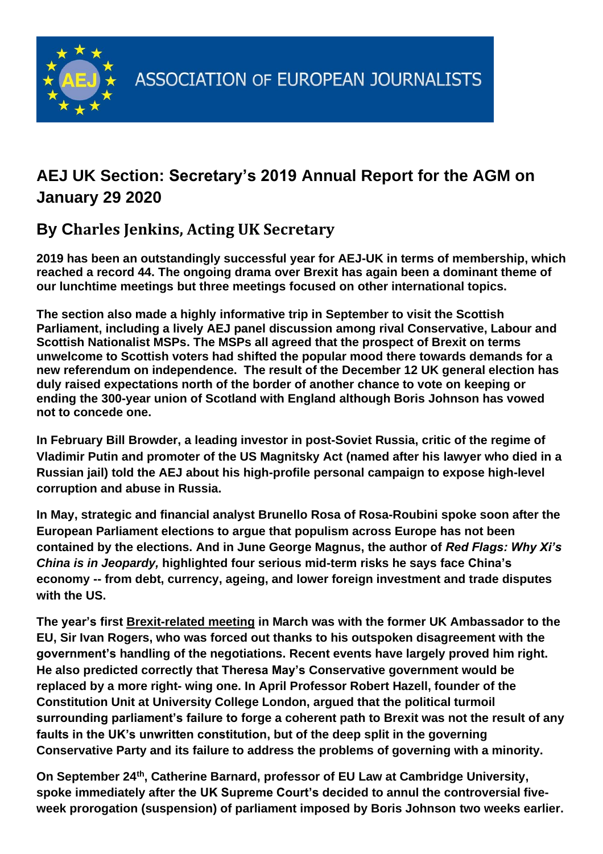

## **AEJ UK Section: Secretary's 2019 Annual Report for the AGM on January 29 2020**

## **By Charles Jenkins, Acting UK Secretary**

**2019 has been an outstandingly successful year for AEJ-UK in terms of membership, which reached a record 44. The ongoing drama over Brexit has again been a dominant theme of our lunchtime meetings but three meetings focused on other international topics.** 

**The section also made a highly informative trip in September to visit the Scottish Parliament, including a lively AEJ panel discussion among rival Conservative, Labour and Scottish Nationalist MSPs. The MSPs all agreed that the prospect of Brexit on terms unwelcome to Scottish voters had shifted the popular mood there towards demands for a new referendum on independence. The result of the December 12 UK general election has duly raised expectations north of the border of another chance to vote on keeping or ending the 300-year union of Scotland with England although Boris Johnson has vowed not to concede one.** 

**In February Bill Browder, a leading investor in post-Soviet Russia, critic of the regime of Vladimir Putin and promoter of the US Magnitsky Act (named after his lawyer who died in a Russian jail) told the AEJ about his high-profile personal campaign to expose high-level corruption and abuse in Russia.** 

**In May, strategic and financial analyst Brunello Rosa of Rosa-Roubini spoke soon after the European Parliament elections to argue that populism across Europe has not been contained by the elections. And in June George Magnus, the author of** *Red Flags: Why Xi's China is in Jeopardy,* **highlighted four serious mid-term risks he says face China's economy -- from debt, currency, ageing, and lower foreign investment and trade disputes with the US.**

**The year's first Brexit-related meeting in March was with the former UK Ambassador to the EU, Sir Ivan Rogers, who was forced out thanks to his outspoken disagreement with the government's handling of the negotiations. Recent events have largely proved him right. He also predicted correctly that Theresa May's Conservative government would be replaced by a more right- wing one. In April Professor Robert Hazell, founder of the Constitution Unit at University College London, argued that the political turmoil surrounding parliament's failure to forge a coherent path to Brexit was not the result of any faults in the UK's unwritten constitution, but of the deep split in the governing Conservative Party and its failure to address the problems of governing with a minority.**

**On September 24th , Catherine Barnard, professor of EU Law at Cambridge University, spoke immediately after the UK Supreme Court's decided to annul the controversial fiveweek prorogation (suspension) of parliament imposed by Boris Johnson two weeks earlier.**